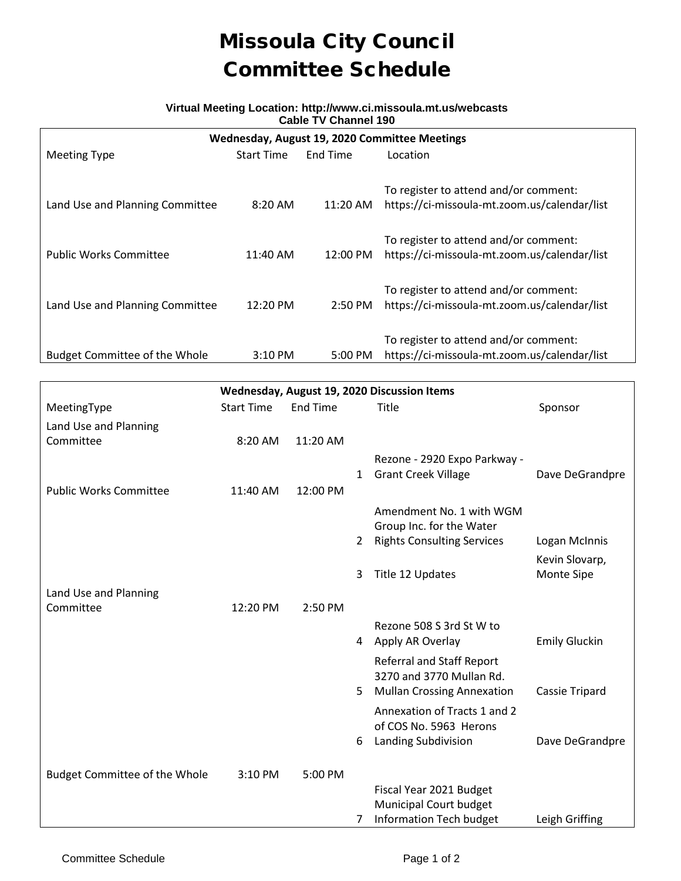## Missoula City Council Committee Schedule

## **Virtual Meeting Location: http://www.ci.missoula.mt.us/webcasts Cable TV Channel 190**

| Wednesday, August 19, 2020 Committee Meetings |                   |                   |                                                                                       |  |  |  |  |
|-----------------------------------------------|-------------------|-------------------|---------------------------------------------------------------------------------------|--|--|--|--|
| <b>Meeting Type</b>                           | <b>Start Time</b> | End Time          | Location                                                                              |  |  |  |  |
| Land Use and Planning Committee               | $8:20$ AM         | 11:20 AM          | To register to attend and/or comment:<br>https://ci-missoula-mt.zoom.us/calendar/list |  |  |  |  |
| <b>Public Works Committee</b>                 | 11:40 AM          | 12:00 PM          | To register to attend and/or comment:<br>https://ci-missoula-mt.zoom.us/calendar/list |  |  |  |  |
| Land Use and Planning Committee               | 12:20 PM          | $2:50 \text{ PM}$ | To register to attend and/or comment:<br>https://ci-missoula-mt.zoom.us/calendar/list |  |  |  |  |
| <b>Budget Committee of the Whole</b>          | 3:10 PM           | 5:00 PM           | To register to attend and/or comment:<br>https://ci-missoula-mt.zoom.us/calendar/list |  |  |  |  |

| Wednesday, August 19, 2020 Discussion Items |                   |                 |                |                                                                                                            |                                   |  |  |  |
|---------------------------------------------|-------------------|-----------------|----------------|------------------------------------------------------------------------------------------------------------|-----------------------------------|--|--|--|
| MeetingType                                 | <b>Start Time</b> | <b>End Time</b> |                | <b>Title</b>                                                                                               | Sponsor                           |  |  |  |
| Land Use and Planning                       |                   |                 |                |                                                                                                            |                                   |  |  |  |
| Committee                                   | 8:20 AM           | 11:20 AM        |                |                                                                                                            |                                   |  |  |  |
|                                             |                   |                 |                | Rezone - 2920 Expo Parkway -                                                                               |                                   |  |  |  |
|                                             |                   |                 | $\mathbf{1}$   | <b>Grant Creek Village</b>                                                                                 | Dave DeGrandpre                   |  |  |  |
| <b>Public Works Committee</b>               | 11:40 AM          | 12:00 PM        |                |                                                                                                            |                                   |  |  |  |
|                                             |                   |                 |                | Amendment No. 1 with WGM<br>Group Inc. for the Water                                                       |                                   |  |  |  |
|                                             |                   |                 | $\overline{2}$ | <b>Rights Consulting Services</b>                                                                          | Logan McInnis                     |  |  |  |
|                                             |                   |                 |                |                                                                                                            | Kevin Slovarp,                    |  |  |  |
|                                             |                   |                 | 3              | Title 12 Updates                                                                                           | Monte Sipe                        |  |  |  |
| Land Use and Planning                       |                   |                 |                |                                                                                                            |                                   |  |  |  |
| Committee                                   | 12:20 PM          | 2:50 PM         |                |                                                                                                            |                                   |  |  |  |
|                                             |                   |                 |                | Rezone 508 S 3rd St W to                                                                                   |                                   |  |  |  |
|                                             |                   |                 | 4              | Apply AR Overlay                                                                                           | <b>Emily Gluckin</b>              |  |  |  |
|                                             |                   |                 |                | <b>Referral and Staff Report</b><br>3270 and 3770 Mullan Rd.                                               |                                   |  |  |  |
|                                             |                   |                 | 5              | <b>Mullan Crossing Annexation</b>                                                                          | Cassie Tripard                    |  |  |  |
|                                             |                   |                 |                | Annexation of Tracts 1 and 2<br>of COS No. 5963 Herons                                                     |                                   |  |  |  |
|                                             |                   |                 | 6              |                                                                                                            |                                   |  |  |  |
|                                             |                   |                 |                |                                                                                                            |                                   |  |  |  |
|                                             |                   |                 |                |                                                                                                            |                                   |  |  |  |
|                                             |                   |                 |                |                                                                                                            |                                   |  |  |  |
|                                             |                   |                 |                |                                                                                                            |                                   |  |  |  |
| <b>Budget Committee of the Whole</b>        | 3:10 PM           | 5:00 PM         | 7              | Landing Subdivision<br>Fiscal Year 2021 Budget<br>Municipal Court budget<br><b>Information Tech budget</b> | Dave DeGrandpre<br>Leigh Griffing |  |  |  |